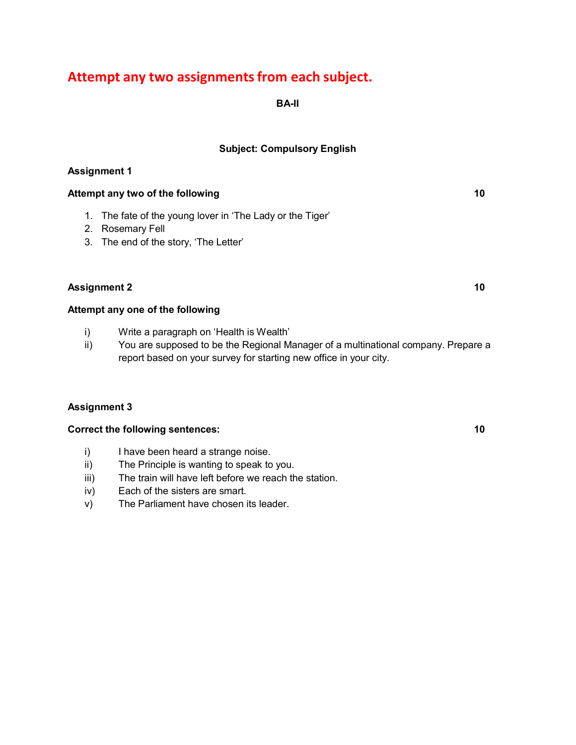# **Attempt any two assignmentsfrom each subject.**

**BA-II**

## **Subject: Compulsory English**

## **Assignment 1**

## **Attempt any two of the following 10**

- 1. The fate of the young lover in 'The Lady or the Tiger'
- 2. Rosemary Fell
- 3. The end of the story, 'The Letter'

## **Assignment 2 10**

## **Attempt any one of the following**

- i) Write a paragraph on 'Health is Wealth'
- ii) You are supposed to be the Regional Manager of a multinational company. Prepare a report based on your survey for starting new office in your city.

#### **Assignment 3**

#### **Correct the following sentences: 10**

- i) I have been heard a strange noise.
- ii) The Principle is wanting to speak to you.
- iii) The train will have left before we reach the station.
- iv) Each of the sisters are smart.
- v) The Parliament have chosen its leader.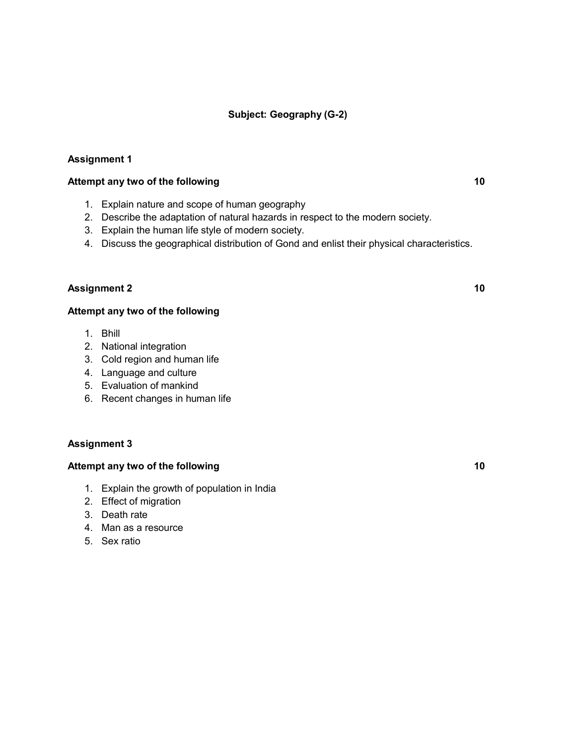## **Subject: Geography (G-2)**

## **Assignment 1**

#### **Attempt any two of the following 10**

- 1. Explain nature and scope of human geography
- 2. Describe the adaptation of natural hazards in respect to the modern society.
- 3. Explain the human life style of modern society.
- 4. Discuss the geographical distribution of Gond and enlist their physical characteristics.

#### **Assignment 2 10**

#### **Attempt any two of the following**

- 1. Bhill
- 2. National integration
- 3. Cold region and human life
- 4. Language and culture
- 5. Evaluation of mankind
- 6. Recent changes in human life

#### **Assignment 3**

- 1. Explain the growth of population in India
- 2. Effect of migration
- 3. Death rate
- 4. Man as a resource
- 5. Sex ratio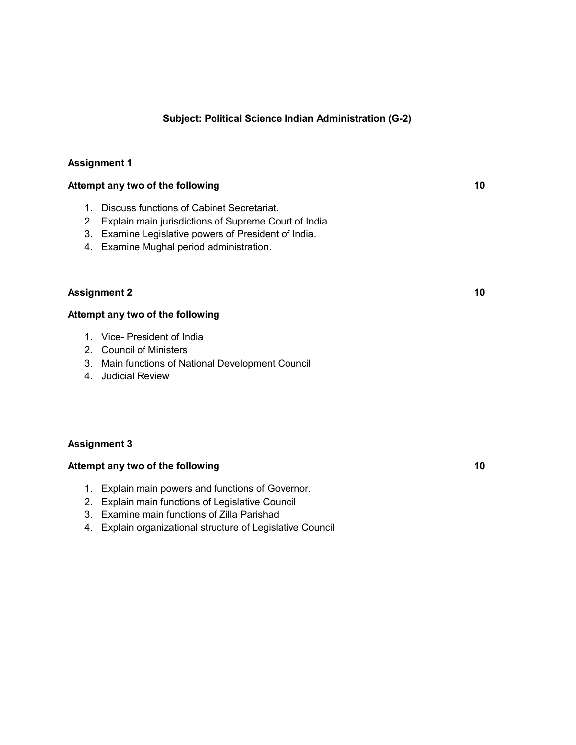## **Subject: Political Science Indian Administration (G-2)**

## **Assignment 1**

#### **Attempt any two of the following 10**

- 1. Discuss functions of Cabinet Secretariat.
- 2. Explain main jurisdictions of Supreme Court of India.
- 3. Examine Legislative powers of President of India.
- 4. Examine Mughal period administration.

## **Assignment 2 10**

#### **Attempt any two of the following**

- 1. Vice- President of India
- 2. Council of Ministers
- 3. Main functions of National Development Council
- 4. Judicial Review

#### **Assignment 3**

- 1. Explain main powers and functions of Governor.
- 2. Explain main functions of Legislative Council
- 3. Examine main functions of Zilla Parishad
- 4. Explain organizational structure of Legislative Council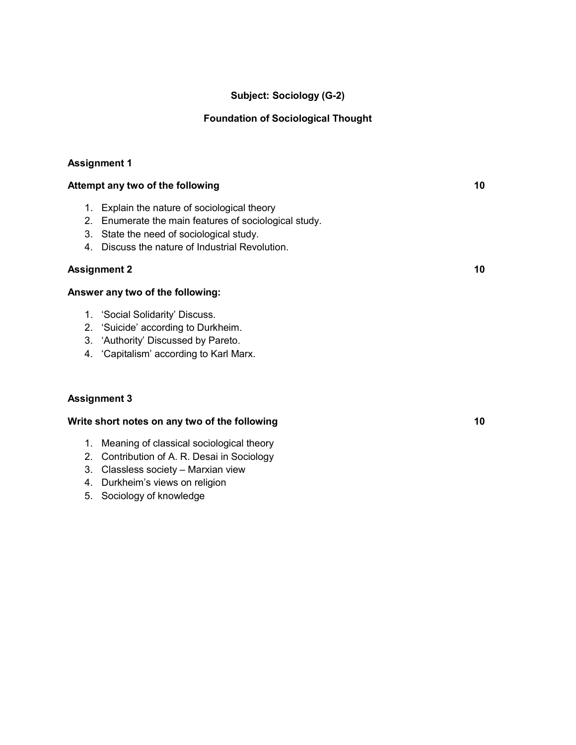## **Subject: Sociology (G-2)**

## **Foundation of Sociological Thought**

## **Assignment 1**

| Attempt any two of the following |                                                       | 10 |
|----------------------------------|-------------------------------------------------------|----|
| 1.                               | Explain the nature of sociological theory             |    |
|                                  | 2. Enumerate the main features of sociological study. |    |
| 3.                               | State the need of sociological study.                 |    |
| 4.                               | Discuss the nature of Industrial Revolution.          |    |
| <b>Assignment 2</b>              |                                                       | 10 |
|                                  | Answer any two of the following:                      |    |
| 1.                               | 'Social Solidarity' Discuss.                          |    |
|                                  |                                                       |    |

- 2. 'Suicide' according to Durkheim.
- 3. 'Authority' Discussed by Pareto.
- 4. 'Capitalism' according to Karl Marx.

## **Assignment 3**

## **Write short notes on any two of the following 10**

- 1. Meaning of classical sociological theory
- 2. Contribution of A. R. Desai in Sociology
- 3. Classless society Marxian view
- 4. Durkheim's views on religion
- 5. Sociology of knowledge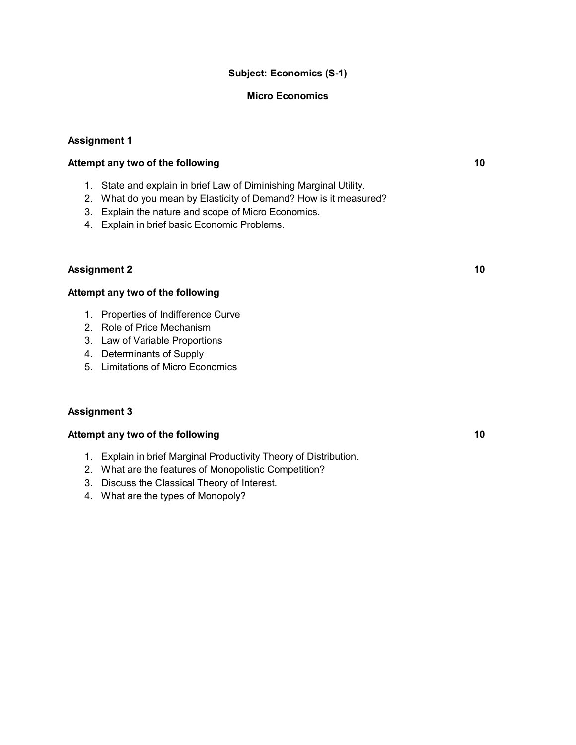## **Subject: Economics (S-1)**

#### **Micro Economics**

#### **Assignment 1**

## **Attempt any two of the following 10**

- 1. State and explain in brief Law of Diminishing Marginal Utility.
- 2. What do you mean by Elasticity of Demand? How is it measured?
- 3. Explain the nature and scope of Micro Economics.
- 4. Explain in brief basic Economic Problems.

## **Assignment 2 10**

## **Attempt any two of the following**

- 1. Properties of Indifference Curve
- 2. Role of Price Mechanism
- 3. Law of Variable Proportions
- 4. Determinants of Supply
- 5. Limitations of Micro Economics

#### **Assignment 3**

- 1. Explain in brief Marginal Productivity Theory of Distribution.
- 2. What are the features of Monopolistic Competition?
- 3. Discuss the Classical Theory of Interest.
- 4. What are the types of Monopoly?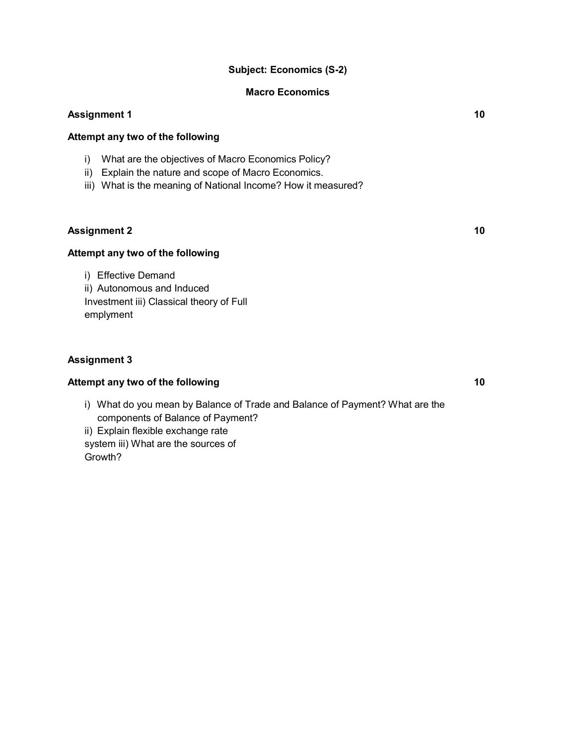## **Subject: Economics (S-2)**

#### **Macro Economics**

## **Assignment 1 10**

#### **Attempt any two of the following**

- i) What are the objectives of Macro Economics Policy?
- ii) Explain the nature and scope of Macro Economics.
- iii) What is the meaning of National Income? How it measured?

#### **Assignment 2 10**

## **Attempt any two of the following**

i) Effective Demand ii) Autonomous and Induced Investment iii) Classical theory of Full emplyment

#### **Assignment 3**

#### **Attempt any two of the following 10**

i) What do you mean by Balance of Trade and Balance of Payment? What are the components of Balance of Payment?

ii) Explain flexible exchange rate system iii) What are the sources of Growth?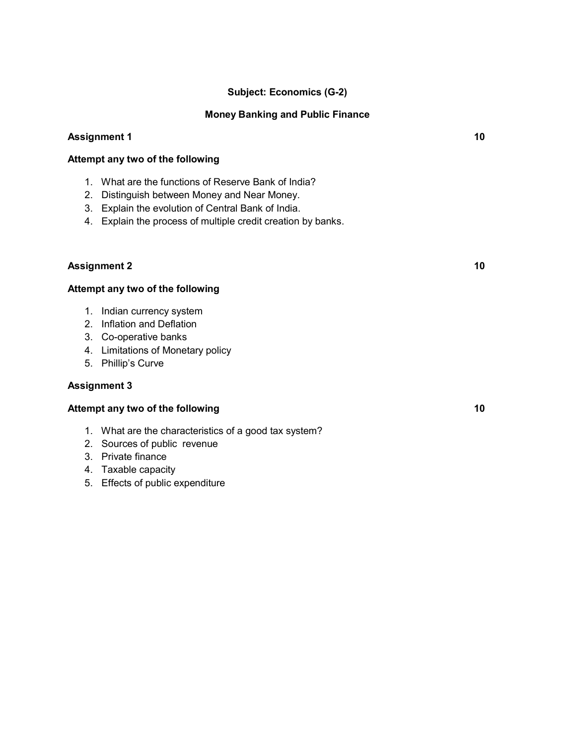## **Subject: Economics (G-2)**

#### **Money Banking and Public Finance**

#### **Assignment 1 10**

#### **Attempt any two of the following**

- 1. What are the functions of Reserve Bank of India?
- 2. Distinguish between Money and Near Money.
- 3. Explain the evolution of Central Bank of India.
- 4. Explain the process of multiple credit creation by banks.

#### **Assignment 2 10**

#### **Attempt any two of the following**

- 1. Indian currency system
- 2. Inflation and Deflation
- 3. Co-operative banks
- 4. Limitations of Monetary policy
- 5. Phillip's Curve

#### **Assignment 3**

- 1. What are the characteristics of a good tax system?
- 2. Sources of public revenue
- 3. Private finance
- 4. Taxable capacity
- 5. Effects of public expenditure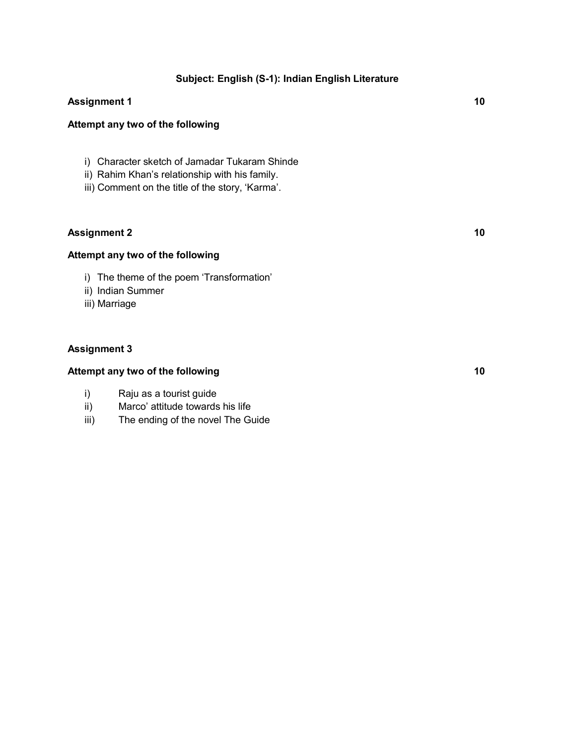## **Subject: English (S-1): Indian English Literature**

## **Assignment 1 10**

#### **Attempt any two of the following**

- i) Character sketch of Jamadar Tukaram Shinde
- ii) Rahim Khan's relationship with his family.
- iii) Comment on the title of the story, 'Karma'.

## **Assignment 2 10**

## **Attempt any two of the following**

- i) The theme of the poem 'Transformation'
- ii) Indian Summer
- iii) Marriage

#### **Assignment 3**

- i) Raju as a tourist guide
- ii) Marco' attitude towards his life
- iii) The ending of the novel The Guide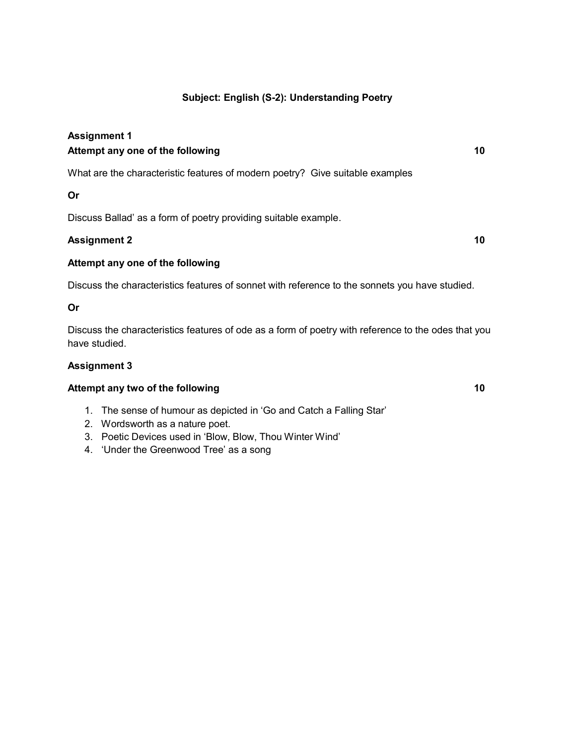## **Subject: English (S-2): Understanding Poetry**

## **Assignment 1 Attempt any one of the following 10**

What are the characteristic features of modern poetry? Give suitable examples

## **Or**

Discuss Ballad' as a form of poetry providing suitable example.

## **Assignment 2 10**

#### **Attempt any one of the following**

Discuss the characteristics features of sonnet with reference to the sonnets you have studied.

#### **Or**

Discuss the characteristics features of ode as a form of poetry with reference to the odes that you have studied.

#### **Assignment 3**

- 1. The sense of humour as depicted in 'Go and Catch a Falling Star'
- 2. Wordsworth as a nature poet.
- 3. Poetic Devices used in 'Blow, Blow, Thou Winter Wind'
- 4. 'Under the Greenwood Tree' as a song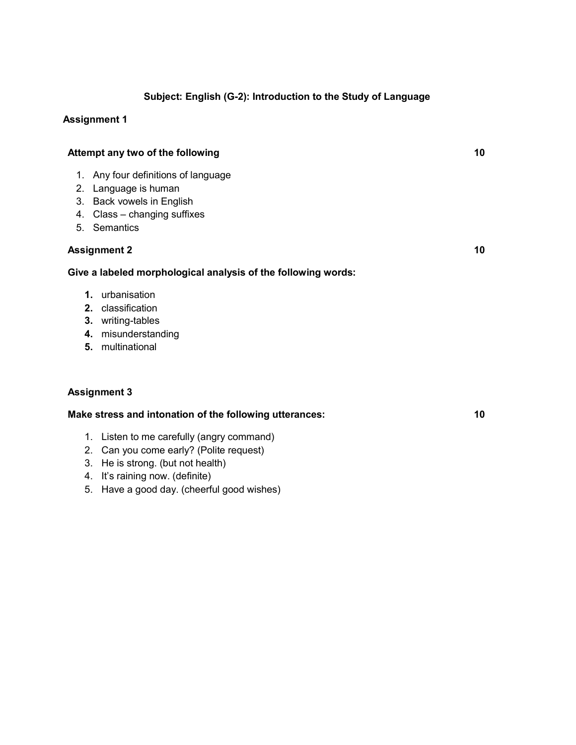## **Subject: English (G-2): Introduction to the Study of Language**

## **Assignment 1**

|                     | Attempt any two of the following                                                                                                   |  |
|---------------------|------------------------------------------------------------------------------------------------------------------------------------|--|
| 1.<br>4.            | Any four definitions of language<br>2. Language is human<br>3. Back vowels in English<br>Class - changing suffixes<br>5. Semantics |  |
|                     | <b>Assignment 2</b>                                                                                                                |  |
|                     | Give a labeled morphological analysis of the following words:                                                                      |  |
| $\mathbf 1$ .<br>4. | urbanisation<br>2. classification<br>3. writing-tables<br>misunderstanding<br>5. multinational                                     |  |
|                     | <b>Assignment 3</b>                                                                                                                |  |

**Make stress and intonation of the following utterances: 10**

- 1. Listen to me carefully (angry command)
- 2. Can you come early? (Polite request)
- 3. He is strong. (but not health)
- 4. It's raining now. (definite)
- 5. Have a good day. (cheerful good wishes)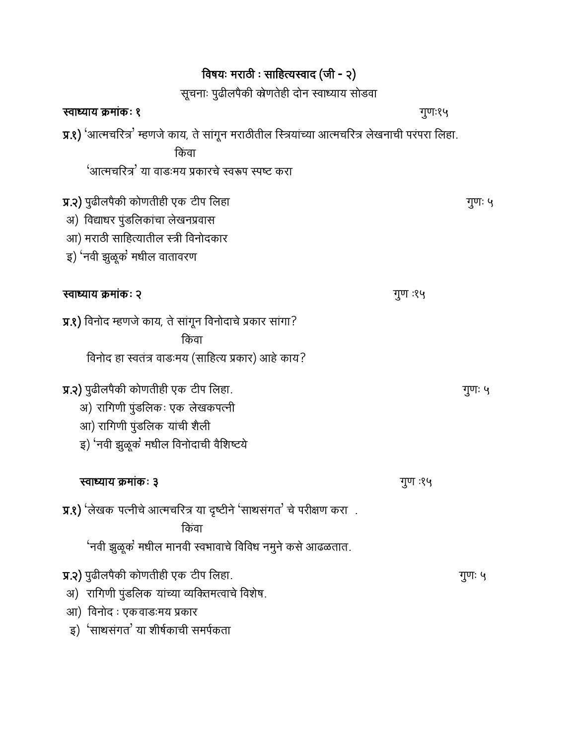| विषयः मराठी : साहित्यस्वाद (जी - २)                                                                                                                                                                                                                                                          |         |        |
|----------------------------------------------------------------------------------------------------------------------------------------------------------------------------------------------------------------------------------------------------------------------------------------------|---------|--------|
| सूचनाः पुढीलपैकी केणतेही दोन स्वाध्याय सोडवा                                                                                                                                                                                                                                                 |         |        |
| स्वाध्याय क्रमांकः १                                                                                                                                                                                                                                                                         | गुणः१५  |        |
| $\overline{y}$ .१) 'आत्मचरित्र' म्हणजे काय, ते सांगून मराठीतील स्त्रियांच्या आत्मचरित्र लेखनाची परंपरा लिहा.<br>किंवा<br>'आत्मचरित्र' या वाडःमय प्रकारचे स्वरूप स्पष्ट करा                                                                                                                   |         |        |
| <b>प्र.२)</b> पुढीलपैकी कोणतीही एक टीप लिहा<br>अ) विद्याधर पुंडलिकांचा लेखनप्रवास<br>आ) मराठी साहित्यातील स्त्री विनोदकार<br>इ) 'नवी झुळूक' मधील वातावरण                                                                                                                                     |         | गुणः ५ |
| स्वाध्याय क्रमांकः २                                                                                                                                                                                                                                                                         | गुण :१५ |        |
| <b>प्र.१)</b> विनोद म्हणजे काय, ते सांगून विनोदाचे प्रकार सांगा?<br>किंवा<br>विनोद हा स्वतंत्र वाडःमय (साहित्य प्रकार) आहे काय?<br><b>प्र.२)</b> पुढीलपैकी कोणतीही एक टीप लिहा.<br>अ) रागिणी पुंडलिकः एक लेखकपत्नी<br>आ) रागिणी पुंडलिक यांची शैली<br>इ) 'नवी झुळूक' मधील विनोदाची वैशिष्टये |         | गुणः ५ |
| स्वाध्याय क्रमाकः ३<br><b>प्र.१)</b> 'लेखक पत्नीचे आत्मचरित्र या दृष्टीने 'साथसंगत' चे परीक्षण करा) .<br>किंवा<br>'नवी झुळूक' मधील मानवी स्वभावाचे विविध नमुने कसे आढळतात.                                                                                                                   | गुण :१५ |        |
| <b>प्र.२)</b> पुढीलपैकी कोणतीही एक टीप लिहा.<br>अ) रागिणी पुंडलिक यांच्या व्यक्तिमत्वाचे विशेष.<br>आ) विनोद : एकवाडःमय प्रकार<br>इ) 'साथसंगत' या शीर्षकाची समर्पकता                                                                                                                          |         | गुणः ५ |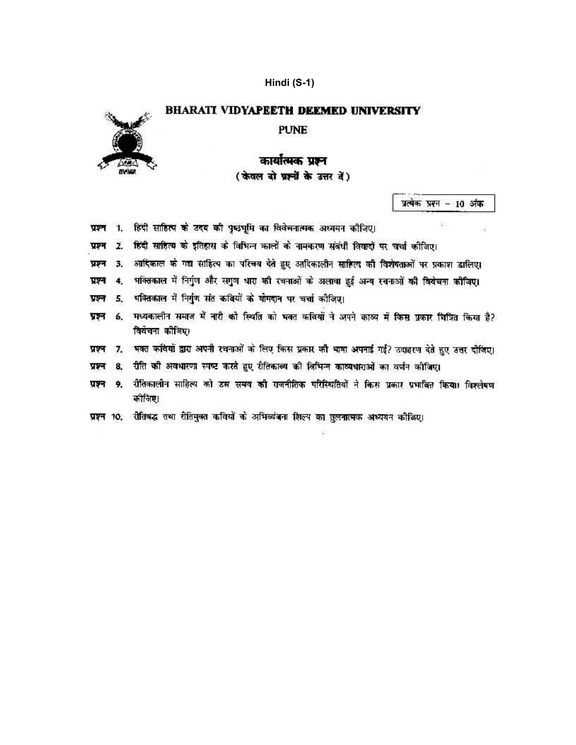## Hindi (S-1)



#### **BHARATI VIDYAPEETH DEEMED UNIVERSITY**

**PUNE** 

# कार्यात्मक प्रश्न (केवल दो ग्रह्मों के उत्तर दें)

प्रत्येक प्रश्न - 10 अंक

흉

 $\overline{\mathcal{M}}$ 

| प्रश्न 1. हिंदी साहित्य के उदय की पृष्ठभूमि का विवेचनात्मक अध्ययन कीजिए। |  |
|--------------------------------------------------------------------------|--|
|--------------------------------------------------------------------------|--|

- 2. हिंदी साहित्य के इतिहास के विभिन्न कालों के नामकरण संबंधी विवादों पर चर्चा कोजिए। प्रश्न
- 3. आदिकाल के गद्य साहित्य का परिचय देते हुए आदिकालीन साहित्य की विशेषताओं पर प्रकाश डालिए। प्रश्न
- 4. भक्तिकाल में निर्गुण और सगुण धारा की रचनाओं के अलावा हुई अन्य रचनाओं की विवेचना कीजिए। प्रश्न
- 5. पवितकाल में निर्गुण संत कवियों के योगदान पर चर्चा कीजिए। ग्रहन
- प्रश्न 6. मध्यकालीन समाज में नारी को स्थिति को भवत कवियों ने अपने काव्य में किस प्रकार चित्रित किया है? विवेचना कौलिए।
- 7. भवत कवियों द्वारा अपनी रचनाओं के लिए किस प्रकार की भाषा अपनाई गई? उदाहरण देते हुए उत्तर दीजिए। प्रश्न
- 8. रीति की अवधारणा स्पष्ट करते हुए रीतिकाव्य को विभिन्न काव्यधाराओं का वर्णन कोजिए। प्रश्न
- प्रश्न 9. रीतिकालीन साहित्य को डस समय की राजनीतिक परिस्थितियों ने किस प्रकार प्रभावित किया। विश्लेषण कोजिए।
- प्रश्न १०. रीतिबद्ध तथा रीतिमुक्त कवियों के अभिव्यंजना शिल्प का तुलनात्मक अध्ययन कौजिए।